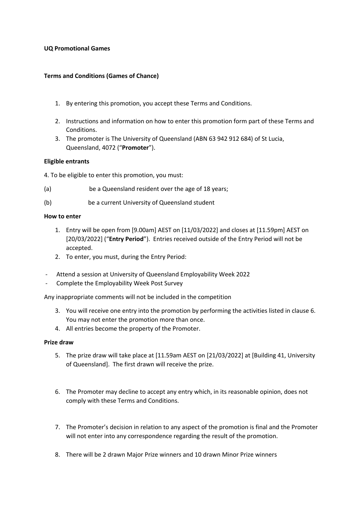## **UQ Promotional Games**

# **Terms and Conditions (Games of Chance)**

- 1. By entering this promotion, you accept these Terms and Conditions.
- 2. Instructions and information on how to enter this promotion form part of these Terms and Conditions.
- 3. The promoter is The University of Queensland (ABN 63 942 912 684) of St Lucia, Queensland, 4072 ("**Promoter**").

## **Eligible entrants**

4. To be eligible to enter this promotion, you must:

- (a) be a Queensland resident over the age of 18 years;
- (b) be a current University of Queensland student

## **How to enter**

- 1. Entry will be open from [9.00am] AEST on [11/03/2022] and closes at [11.59pm] AEST on [20/03/2022] ("**Entry Period**"). Entries received outside of the Entry Period will not be accepted.
- 2. To enter, you must, during the Entry Period:
- Attend a session at University of Queensland Employability Week 2022
- Complete the Employability Week Post Survey

Any inappropriate comments will not be included in the competition

- 3. You will receive one entry into the promotion by performing the activities listed in clause 6. You may not enter the promotion more than once.
- 4. All entries become the property of the Promoter.

## **Prize draw**

- 5. The prize draw will take place at [11.59am AEST on [21/03/2022] at [Building 41, University of Queensland]. The first drawn will receive the prize.
- 6. The Promoter may decline to accept any entry which, in its reasonable opinion, does not comply with these Terms and Conditions.
- 7. The Promoter's decision in relation to any aspect of the promotion is final and the Promoter will not enter into any correspondence regarding the result of the promotion.
- 8. There will be 2 drawn Major Prize winners and 10 drawn Minor Prize winners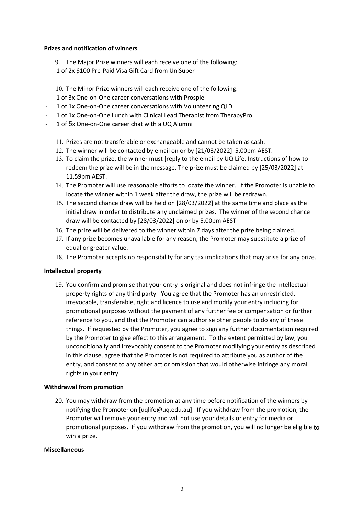### **Prizes and notification of winners**

- 9. The Major Prize winners will each receive one of the following:
- 1 of 2x \$100 Pre-Paid Visa Gift Card from UniSuper

10. The Minor Prize winners will each receive one of the following:

- 1 of 3x One-on-One career conversations with Prosple
- 1 of 1x One-on-One career conversations with Volunteering QLD
- 1 of 1x One-on-One Lunch with Clinical Lead Therapist from TherapyPro
- 1 of 5x One-on-One career chat with a UQ Alumni
	- 11. Prizes are not transferable or exchangeable and cannot be taken as cash.
	- 12. The winner will be contacted by email on or by [21/03/2022] 5.00pm AEST.
	- 13. To claim the prize, the winner must [reply to the email by UQ Life. Instructions of how to redeem the prize will be in the message. The prize must be claimed by [25/03/2022] at 11.59pm AEST.
	- 14. The Promoter will use reasonable efforts to locate the winner. If the Promoter is unable to locate the winner within 1 week after the draw, the prize will be redrawn.
	- 15. The second chance draw will be held on [28/03/2022] at the same time and place as the initial draw in order to distribute any unclaimed prizes. The winner of the second chance draw will be contacted by [28/03/2022] on or by 5.00pm AEST
	- 16. The prize will be delivered to the winner within 7 days after the prize being claimed.
	- 17. If any prize becomes unavailable for any reason, the Promoter may substitute a prize of equal or greater value.
	- 18. The Promoter accepts no responsibility for any tax implications that may arise for any prize.

## **Intellectual property**

19. You confirm and promise that your entry is original and does not infringe the intellectual property rights of any third party. You agree that the Promoter has an unrestricted, irrevocable, transferable, right and licence to use and modify your entry including for promotional purposes without the payment of any further fee or compensation or further reference to you, and that the Promoter can authorise other people to do any of these things. If requested by the Promoter, you agree to sign any further documentation required by the Promoter to give effect to this arrangement. To the extent permitted by law, you unconditionally and irrevocably consent to the Promoter modifying your entry as described in this clause, agree that the Promoter is not required to attribute you as author of the entry, and consent to any other act or omission that would otherwise infringe any moral rights in your entry.

## **Withdrawal from promotion**

20. You may withdraw from the promotion at any time before notification of the winners by notifying the Promoter on [uqlife@uq.edu.au]. If you withdraw from the promotion, the Promoter will remove your entry and will not use your details or entry for media or promotional purposes. If you withdraw from the promotion, you will no longer be eligible to win a prize.

## **Miscellaneous**